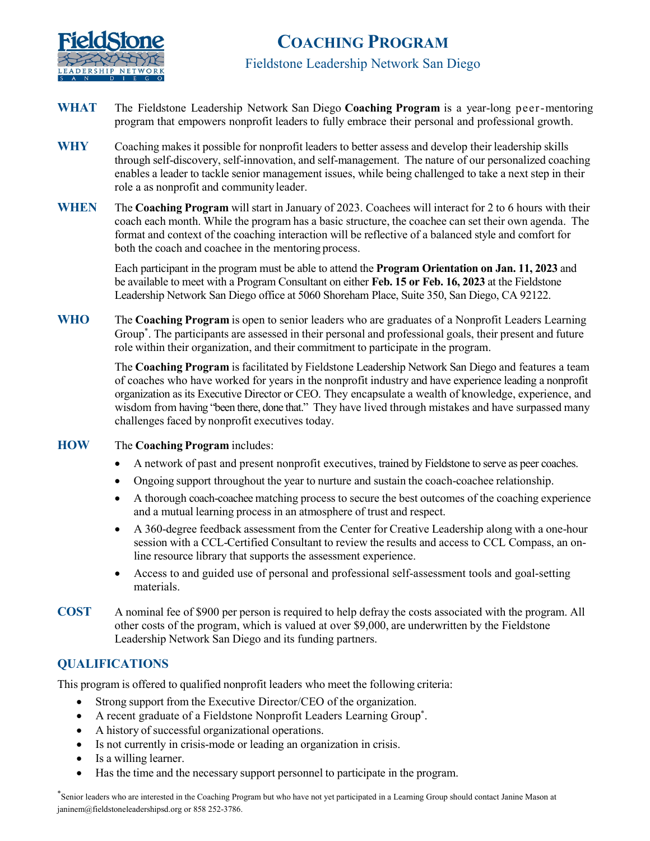

# **COACHING PROGRAM**  Fieldstone Leadership Network San Diego

- **WHAT** The Fieldstone Leadership Network San Diego **Coaching Program** is a year-long peer-mentoring program that empowers nonprofit leaders to fully embrace their personal and professional growth.
- **WHY** Coaching makes it possible for nonprofit leaders to better assess and develop their leadership skills through self-discovery, self-innovation, and self-management. The nature of our personalized coaching enables a leader to tackle senior management issues, while being challenged to take a next step in their role a as nonprofit and community leader.
- **WHEN** The **Coaching Program** will start in January of 2023. Coachees will interact for 2 to 6 hours with their coach each month. While the program has a basic structure, the coachee can set their own agenda. The format and context of the coaching interaction will be reflective of a balanced style and comfort for both the coach and coachee in the mentoring process.

Each participant in the program must be able to attend the **Program Orientation on Jan. 11, 2023** and be available to meet with a Program Consultant on either **Feb. 15 or Feb. 16, 2023** at the Fieldstone Leadership Network San Diego office at 5060 Shoreham Place, Suite 350, San Diego, CA 92122.

**WHO** The **Coaching Program** is open to senior leaders who are graduates of a Nonprofit Leaders Learning Group\* . The participants are assessed in their personal and professional goals, their present and future role within their organization, and their commitment to participate in the program.

> The **Coaching Program** is facilitated by Fieldstone Leadership Network San Diego and features a team of coaches who have worked for years in the nonprofit industry and have experience leading a nonprofit organization as its Executive Director or CEO. They encapsulate a wealth of knowledge, experience, and wisdom from having "been there, done that." They have lived through mistakes and have surpassed many challenges faced by nonprofit executives today.

- **HOW** The **Coaching Program** includes:
	- A network of past and present nonprofit executives, trained by Fieldstone to serve as peer coaches.
	- Ongoing support throughout the year to nurture and sustain the coach-coachee relationship.
	- A thorough coach-coachee matching process to secure the best outcomes of the coaching experience and a mutual learning process in an atmosphere of trust and respect.
	- A 360-degree feedback assessment from the Center for Creative Leadership along with a one-hour session with a CCL-Certified Consultant to review the results and access to CCL Compass, an online resource library that supports the assessment experience.
	- Access to and guided use of personal and professional self-assessment tools and goal-setting materials.
- **COST** A nominal fee of \$900 per person is required to help defray the costs associated with the program. All other costs of the program, which is valued at over \$9,000, are underwritten by the Fieldstone Leadership Network San Diego and its funding partners.

#### **QUALIFICATIONS**

This program is offered to qualified nonprofit leaders who meet the following criteria:

- Strong support from the Executive Director/CEO of the organization.
- A recent graduate of a Fieldstone Nonprofit Leaders Learning Group\* .
- A history of successful organizational operations.
- Is not currently in crisis-mode or leading an organization in crisis.
- Is a willing learner.
- Has the time and the necessary support personnel to participate in the program.

\* Senior leaders who are interested in the Coaching Program but who have not yet participated in a Learning Group should contact Janine Mason at janinem@fieldstoneleadershipsd.org or 858 252-3786.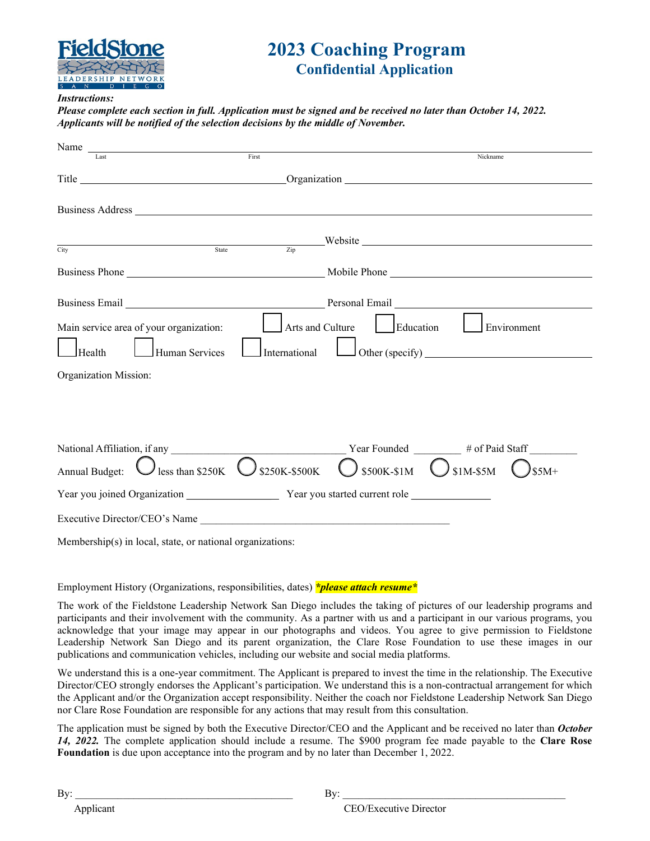

## **2023 Coaching Program Confidential Application**

#### *Instructions:*

*Please complete each section in full. Application must be signed and be received no later than October 14, 2022. Applicants will be notified of the selection decisions by the middle of November.*

| Name experience and the same state of the same state of the same state of the same state of the same state of the same state of the same state of the same state of the same state of the same state of the same state of the       |                        |                            |                               |
|-------------------------------------------------------------------------------------------------------------------------------------------------------------------------------------------------------------------------------------|------------------------|----------------------------|-------------------------------|
|                                                                                                                                                                                                                                     | $\operatorname{First}$ |                            | Nickname                      |
| Title Communication Communication Communication Communication Communication Communication Communication Communication Communication Communication Communication Communication Communication Communication Communication Commun      |                        |                            |                               |
|                                                                                                                                                                                                                                     |                        |                            |                               |
|                                                                                                                                                                                                                                     |                        |                            |                               |
|                                                                                                                                                                                                                                     |                        |                            |                               |
| $Sdate$ $Zip$ Website<br>City                                                                                                                                                                                                       |                        |                            |                               |
|                                                                                                                                                                                                                                     |                        |                            |                               |
| Business Email <u>Number of the Community of Personal Email</u> Personal Email Number of the Community of the Community of Personal Email Number of the Community of the Community of the Community of the Community of the Communi |                        |                            |                               |
| Main service area of your organization:                                                                                                                                                                                             |                        | Arts and Culture Education | Environment                   |
| Human Services<br>Health                                                                                                                                                                                                            | International          |                            | $\Box$ Other (specify) $\Box$ |
| Organization Mission:                                                                                                                                                                                                               |                        |                            |                               |
|                                                                                                                                                                                                                                     |                        |                            |                               |
|                                                                                                                                                                                                                                     |                        |                            |                               |
|                                                                                                                                                                                                                                     |                        |                            |                               |
| Annual Budget:<br>$\bigcup$ less than \$250K $\bigcup$ \$250K-\$500K                                                                                                                                                                |                        | \$500K-\$1M                | $\bigcup$ \$1M-\$5M<br>$$5M+$ |
|                                                                                                                                                                                                                                     |                        |                            |                               |
|                                                                                                                                                                                                                                     |                        |                            |                               |
| Membership(s) in local, state, or national organizations:                                                                                                                                                                           |                        |                            |                               |

Employment History (Organizations, responsibilities, dates) *\*please attach resume\**

The work of the Fieldstone Leadership Network San Diego includes the taking of pictures of our leadership programs and participants and their involvement with the community. As a partner with us and a participant in our various programs, you acknowledge that your image may appear in our photographs and videos. You agree to give permission to Fieldstone Leadership Network San Diego and its parent organization, the Clare Rose Foundation to use these images in our publications and communication vehicles, including our website and social media platforms.

We understand this is a one-year commitment. The Applicant is prepared to invest the time in the relationship. The Executive Director/CEO strongly endorses the Applicant's participation. We understand this is a non-contractual arrangement for which the Applicant and/or the Organization accept responsibility. Neither the coach nor Fieldstone Leadership Network San Diego nor Clare Rose Foundation are responsible for any actions that may result from this consultation.

The application must be signed by both the Executive Director/CEO and the Applicant and be received no later than *October 14, 2022.* The complete application should include a resume. The \$900 program fee made payable to the **Clare Rose Foundation** is due upon acceptance into the program and by no later than December 1, 2022.